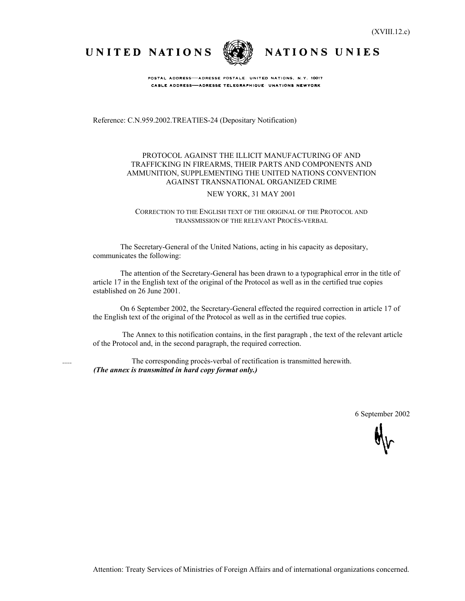UNITED NATIONS



NATIONS UNIES

POSTAL ADDRESS-ADRESSE POSTALE: UNITED NATIONS, N.Y. 10017 CABLE ADDRESS-ADRESSE TELEGRAPHIQUE UNATIONS NEWYORK

Reference: C.N.959.2002.TREATIES-24 (Depositary Notification)

## PROTOCOL AGAINST THE ILLICIT MANUFACTURING OF AND TRAFFICKING IN FIREARMS, THEIR PARTS AND COMPONENTS AND AMMUNITION, SUPPLEMENTING THE UNITED NATIONS CONVENTION AGAINST TRANSNATIONAL ORGANIZED CRIME

### NEW YORK, 31 MAY 2001

CORRECTION TO THE ENGLISH TEXT OF THE ORIGINAL OF THE PROTOCOL AND TRANSMISSION OF THE RELEVANT PROCÈS-VERBAL

The Secretary-General of the United Nations, acting in his capacity as depositary, communicates the following:

The attention of the Secretary-General has been drawn to a typographical error in the title of article 17 in the English text of the original of the Protocol as well as in the certified true copies established on 26 June 2001.

On 6 September 2002, the Secretary-General effected the required correction in article 17 of the English text of the original of the Protocol as well as in the certified true copies.

 The Annex to this notification contains, in the first paragraph , the text of the relevant article of the Protocol and, in the second paragraph, the required correction.

 ..... The corresponding procès-verbal of rectification is transmitted herewith. *(The annex is transmitted in hard copy format only.)*

6 September 2002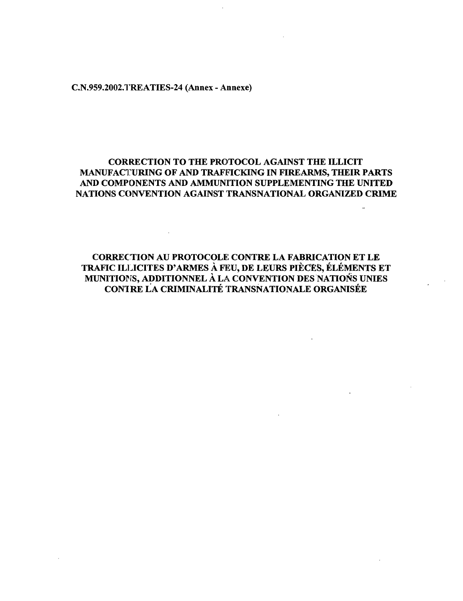C.N.959.2002.TREATIES-24 (Annex - Annexe)

## **CORRECTION TO THE PROTOCOL AGAINST THE ILLICIT MANUFACTURING OF AND TRAFFICKING IN FIREARMS, THEIR PARTS AND COMPONENTS AND AMMUNITION SUPPLEMENTING THE UNITED NATIONS CONVENTION AGAINST TRANSNATIONAL ORGANIZED CRIME**

**CORREC TION AU PROTOCOLS CONTRE LA FABRICATION ET LE TRAFIC ILLICITES D'ARMES A FEU, DE LEURS PIECES, ELEMENTS ET MUNITIONS, ADDITIONNEL A LA CONVENTION DES NATIONS UNIES CONTRE LA CRIMINALITE TRANSNATIONALE ORGANISES**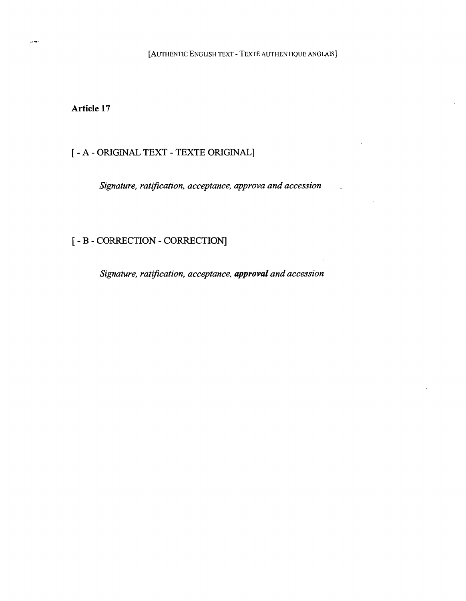[AUTHENTIC ENGLISH TEXT - TEXTE AUTHENTIQUE ANGLAIS]

**Article** 17

## [ - A - ORIGINAL TEXT - TEXTE ORIGINAL]

*Signature, ratification, acceptance, approva and accession*

# [ - B - CORRECTION - CORRECTION]

*Signature, ratification, acceptance, approval and accession*